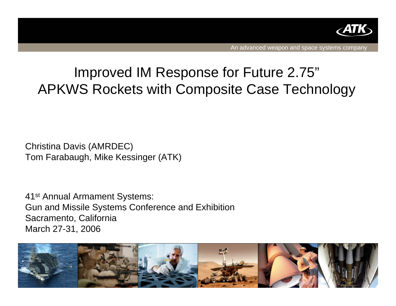

An advanced weapon and space systems company

# Improved IM Response for Future 2.75" APKWS Rockets with Composite Case Technology

Christina Davis (AMRDEC) Tom Farabaugh, Mike Kessinger (ATK)

41st Annual Armament Systems: Gun and Missile Systems Conference and Exhibition Sacramento, California March 27-31, 2006

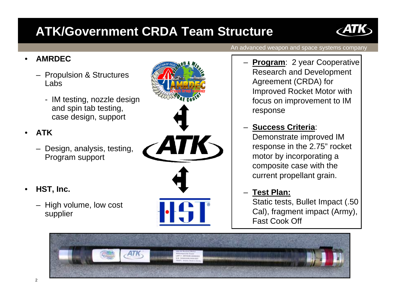# **ATK/Government CRDA Team Structure**

#### •**AMRDEC**

- Propulsion & Structures Labs
	- IM testing, nozzle design and spin tab testing, case design, support

#### •**ATK**

- Design, analysis, testing, Program support
- • **HST, Inc.**
	- High volume, low cost supplier





An advanced weapon and space systems company

- **Program: 2 year Cooperative** Research and Development Agreement (CRDA) for Improved Rocket Motor with focus on improvement to IM response
- **Success Criteria**: Demonstrate improved IM response in the 2.75" rocket motor by incorporating a composite case with the current propellant grain.

#### –**Test Plan:**

Static tests, Bullet Impact (.50 Cal), fragment impact (Army), Fast Cook Off

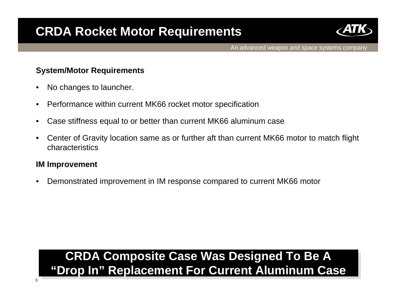

An advanced weapon and space systems company

#### **System/Motor Requirements**

- •No changes to launcher.
- $\bullet$ Performance within current MK66 rocket motor specification
- $\bullet$ Case stiffness equal to or better than current MK66 aluminum case
- $\bullet$  Center of Gravity location same as or further aft than current MK66 motor to match flight characteristics

#### **IM Improvement**

•Demonstrated improvement in IM response compared to current MK66 motor

# **CRDA Composite Case Was Designed To Be A CRDA Composite Case Was Designed To Be A "Drop In" Replacement For Current Aluminum Case "Drop In" Replacement For Current Aluminum Case**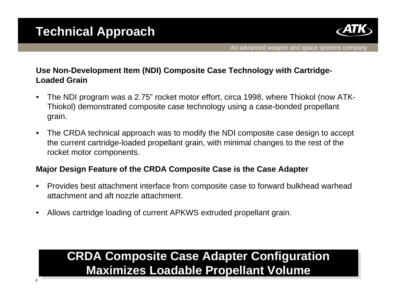4



### **Use Non-Development Item (NDI) Composite Case Technology with Cartridge-Loaded Grain**

- $\bullet$  The NDI program was a 2.75" rocket motor effort, circa 1998, where Thiokol (now ATK-Thiokol) demonstrated composite case technology using a case-bonded propellant grain.
- $\bullet$  The CRDA technical approach was to modify the NDI composite case design to accept the current cartridge-loaded propellant grain, with minimal changes to the rest of the rocket motor components.

### **Major Design Feature of the CRDA Composite Case is the Case Adapter**

- Provides best attachment interface from composite case to forward bulkhead warhead attachment and aft nozzle attachment.
- •Allows cartridge loading of current APKWS extruded propellant grain.

# **CRDA Composite Case Adapter Configuration CRDA Composite Case Adapter Configuration Maximizes Loadable Propellant Volume Maximizes Loadable Propellant Volume**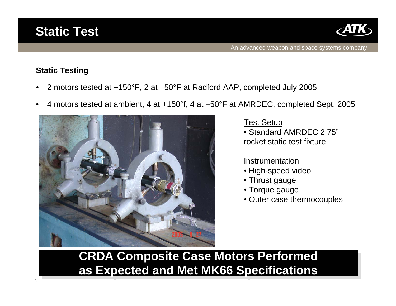



#### **Static Testing**

- •2 motors tested at +150°F, 2 at –50°F at Radford AAP, completed July 2005
- •4 motors tested at ambient, 4 at +150°f, 4 at –50°F at AMRDEC, completed Sept. 2005



Test Setup

• Standard AMRDEC 2.75"rocket static test fixture

#### Instrumentation

- High-speed video
- Thrust gauge
- Torque gauge
- Outer case thermocouples

**CRDA Composite Case Motors Performed CRDA Composite Case Motors Performed as Expected and Met MK66 Specifications as Expected and Met MK66 Specifications**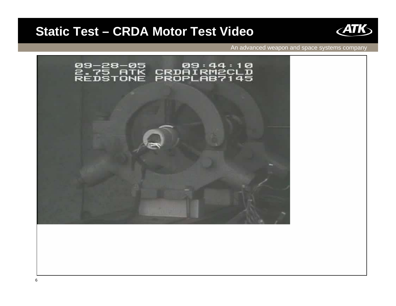## **Static Test – CRDA Motor Test Video**



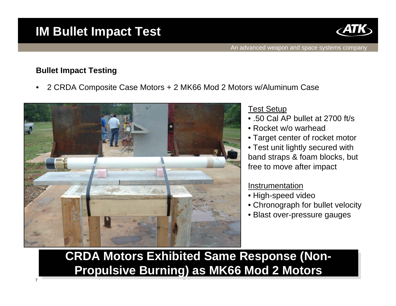# **IM Bullet Impact Test**



### **Bullet Impact Testing**

•2 CRDA Composite Case Motors + 2 MK66 Mod 2 Motors w/Aluminum Case



### Test Setup

- .50 Cal AP bullet at 2700 ft/s
- Rocket w/o warhead
- Target center of rocket motor
- Test unit lightly secured with band straps & foam blocks, but free to move after impact

### Instrumentation

- High-speed video
- Chronograph for bullet velocity
- Blast over-pressure gauges

**CRDA Motors Exhibited Same Response (Non-Propulsive Burning) as MK66 Mod 2 Motors**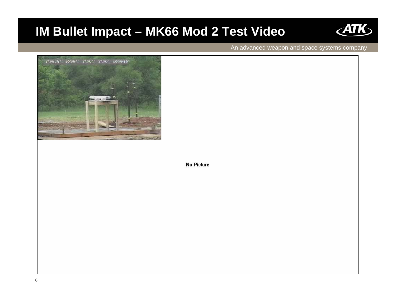## **IM Bullet Impact – MK66 Mod 2 Test Video**



An advanced weapon and space systems company



**No Picture**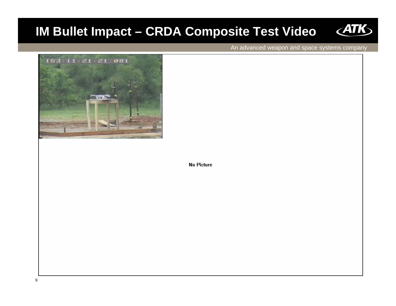# **IM Bullet Impact - CRDA Composite Test Video**



An advanced weapon and space systems company



**No Picture**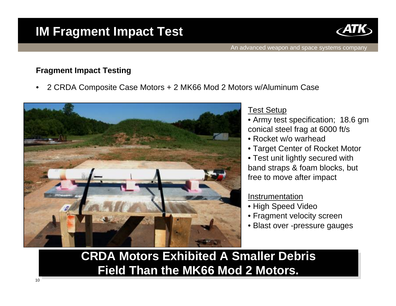# **IM Fragment Impact Test**



#### **Fragment Impact Testing**

•2 CRDA Composite Case Motors + 2 MK66 Mod 2 Motors w/Aluminum Case



#### Test Setup

- Army test specification; 18.6 gm conical steel frag at 6000 ft/s
- Rocket w/o warhead
- Target Center of Rocket Motor

• Test unit lightly secured with band straps & foam blocks, but free to move after impact

#### Instrumentation

- High Speed Video
- Fragment velocity screen
- Blast over -pressure gauges

## **CRDA Motors Exhibited A Smaller DebrisCRDA Motors Exhibited A Smaller Debris Field Than the MK66 Mod 2 Motors. Field Than the MK66 Mod 2 Motors.**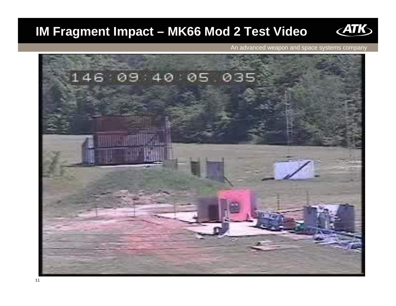# **IM Fragment Impact - MK66 Mod 2 Test Video**



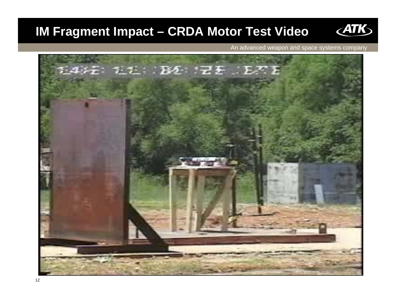# **IM Fragment Impact - CRDA Motor Test Video**



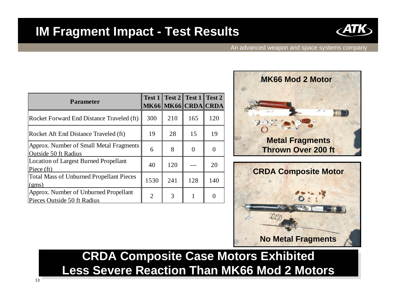### **IM Fragment Impact - Test Results**



An advanced weapon and space systems company

| <b>Parameter</b>                                                     |      | Test 1   Test 2   Test 1   Test 2  <br>MK66 MK66 CRDA CRDA |     |     |
|----------------------------------------------------------------------|------|------------------------------------------------------------|-----|-----|
| Rocket Forward End Distance Traveled (ft)                            | 300  | 210                                                        | 165 | 120 |
| Rocket Aft End Distance Traveled (ft)                                | 19   | 28                                                         | 15  | 19  |
| Approx. Number of Small Metal Fragments<br>Outside 50 ft Radius      | 6    | 8                                                          |     |     |
| <b>Location of Largest Burned Propellant</b><br>Piece (ft)           | 40   | 120                                                        |     | 20  |
| <b>Total Mass of Unburned Propellant Pieces</b><br>(gms)             | 1530 | 241                                                        | 128 | 140 |
| Approx. Number of Unburned Propellant<br>Pieces Outside 50 ft Radius | 2    | 3                                                          |     |     |





## **CRDA Composite Case Motors Exhibited CRDA Composite Case Motors Exhibited Less Severe Reaction Than MK66 Mod 2 MotorsLess Severe Reaction Than MK66 Mod 2 Motors**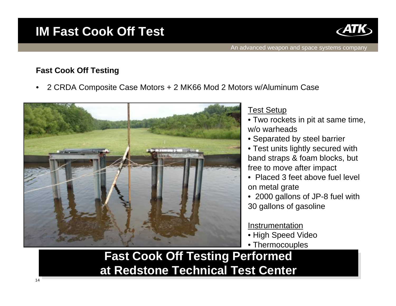## **IM Fast Cook Off Test**



### **Fast Cook Off Testing**

•2 CRDA Composite Case Motors + 2 MK66 Mod 2 Motors w/Aluminum Case



### Test Setup

- Two rockets in pit at same time, w/o warheads
- Separated by steel barrier
- Test units lightly secured with band straps & foam blocks, but free to move after impact
- Placed 3 feet above fuel level on metal grate
- 2000 gallons of JP-8 fuel with 30 gallons of gasoline

### Instrumentation

- High Speed Video
- Thermocouples

### **Fast Cook Off Testing Performed Fast Cook Off Testing Performed at Redstone Technical Test Center at Redstone Technical Test Center**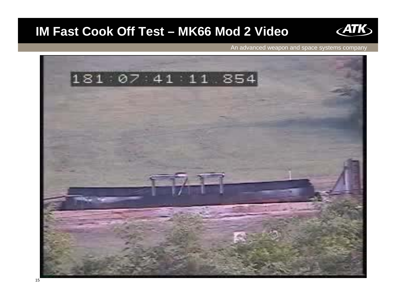## **IM Fast Cook Off Test - MK66 Mod 2 Video**



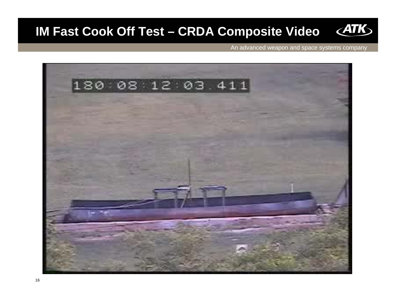#### $\angle$ ATK **IM Fast Cook Off Test – CRDA Composite Video**

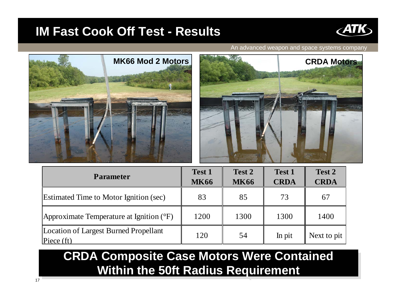### **IM Fast Cook Off Test - Results**



An advanced weapon and space systems company





| <b>Parameter</b>                                    | <b>Test 1</b><br><b>MK66</b> | Test 2<br><b>MK66</b> | Test 1<br><b>CRDA</b> | Test 2<br><b>CRDA</b> |
|-----------------------------------------------------|------------------------------|-----------------------|-----------------------|-----------------------|
| <b>Estimated Time to Motor Ignition (sec)</b>       | 83                           | 85                    | 73                    | 67                    |
| Approximate Temperature at Ignition (°F)            | 1200                         | 1300                  | 1300                  | 1400                  |
| Location of Largest Burned Propellant<br>Piece (ft) | 120                          | 54                    | In pit                | Next to pit           |

# **CRDA Composite Case Motors Were Contained CRDA Composite Case Motors Were Contained Within the 50ft Radius Requirement Within the 50ft Radius Requirement**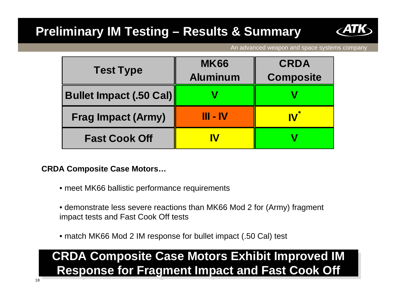# **Preliminary IM Testing – Results & Summary**



An advanced weapon and space systems company

| <b>Test Type</b>               | <b>MK66</b>     | <b>CRDA</b>      |  |
|--------------------------------|-----------------|------------------|--|
|                                | <b>Aluminum</b> | <b>Composite</b> |  |
| <b>Bullet Impact (.50 Cal)</b> |                 |                  |  |
| <b>Frag Impact (Army)</b>      | $III - IV$      |                  |  |
| <b>Fast Cook Off</b>           | IV              |                  |  |

**CRDA Composite Case Motors…**

- meet MK66 ballistic performance requirements
- demonstrate less severe reactions than MK66 Mod 2 for (Army) fragment impact tests and Fast Cook Off tests
- match MK66 Mod 2 IM response for bullet impact (.50 Cal) test

# **CRDA Composite Case Motors Exhibit Improved IM CRDA Composite Case Motors Exhibit Improved IM Response for Fragment Impact and Fast Cook Off Response for Fragment Impact and Fast Cook Off**